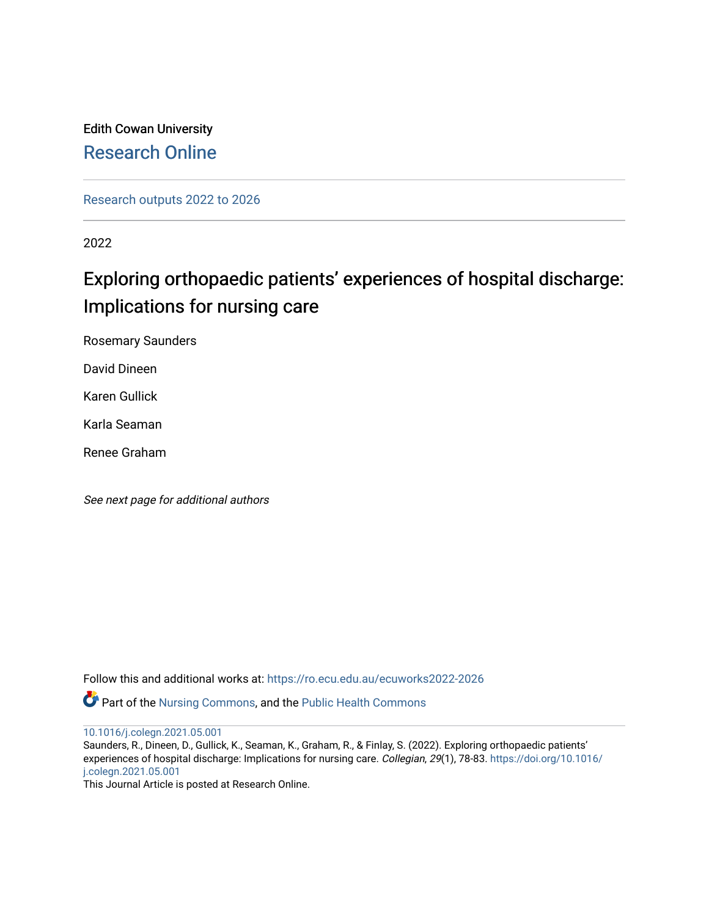# Edith Cowan University [Research Online](https://ro.ecu.edu.au/)

[Research outputs 2022 to 2026](https://ro.ecu.edu.au/ecuworks2022-2026) 

2022

# Exploring orthopaedic patients' experiences of hospital discharge: Implications for nursing care

Rosemary Saunders

David Dineen

Karen Gullick

Karla Seaman

Renee Graham

See next page for additional authors

Follow this and additional works at: [https://ro.ecu.edu.au/ecuworks2022-2026](https://ro.ecu.edu.au/ecuworks2022-2026?utm_source=ro.ecu.edu.au%2Fecuworks2022-2026%2F87&utm_medium=PDF&utm_campaign=PDFCoverPages)

Part of the [Nursing Commons,](http://network.bepress.com/hgg/discipline/718?utm_source=ro.ecu.edu.au%2Fecuworks2022-2026%2F87&utm_medium=PDF&utm_campaign=PDFCoverPages) and the [Public Health Commons](http://network.bepress.com/hgg/discipline/738?utm_source=ro.ecu.edu.au%2Fecuworks2022-2026%2F87&utm_medium=PDF&utm_campaign=PDFCoverPages)

[10.1016/j.colegn.2021.05.001](http://dx.doi.org/10.1016/j.colegn.2021.05.001)

Saunders, R., Dineen, D., Gullick, K., Seaman, K., Graham, R., & Finlay, S. (2022). Exploring orthopaedic patients' experiences of hospital discharge: Implications for nursing care. Collegian, 29(1), 78-83. [https://doi.org/10.1016/](https://doi.org/10.1016/j.colegn.2021.05.001) [j.colegn.2021.05.001](https://doi.org/10.1016/j.colegn.2021.05.001) 

This Journal Article is posted at Research Online.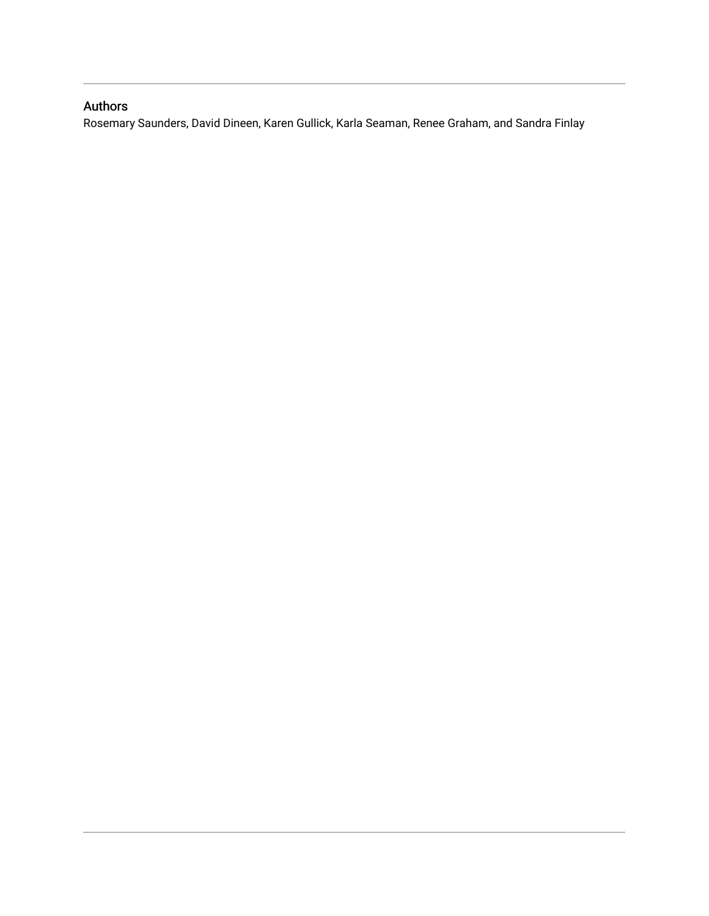# Authors

Rosemary Saunders, David Dineen, Karen Gullick, Karla Seaman, Renee Graham, and Sandra Finlay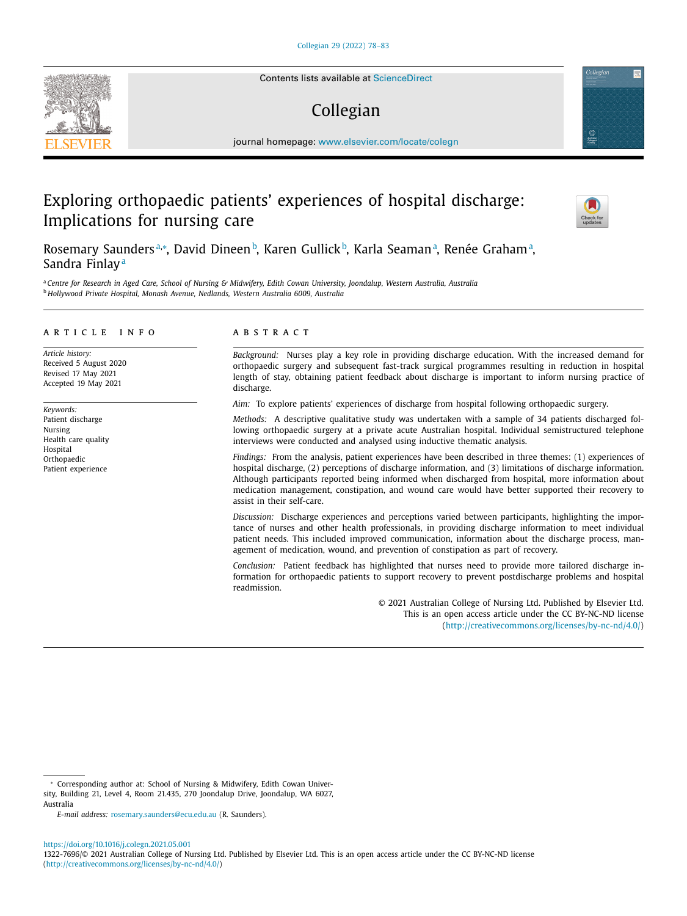Contents lists available at [ScienceDirect](http://www.ScienceDirect.com)

# Collegian

journal homepage: [www.elsevier.com/locate/colegn](http://www.elsevier.com/locate/colegn)

# Exploring orthopaedic patients' experiences of hospital discharge: Implications for nursing care



Rosemary Saundersª,\*, David Dineen b, Karen Gullick b, Karla Seamanª, Renée Grahamª, Sandra Finlay<sup>a</sup>

a Centre for Research in Aged Care, School of Nursing & Midwifery, Edith Cowan University, Joondalup, Western Australia, Australia <sup>b</sup> *Hollywood Private Hospital, Monash Avenue, Nedlands, Western Australia 6009, Australia*

#### a r t i c l e i n f o

*Article history:* Received 5 August 2020 Revised 17 May 2021 Accepted 19 May 2021

*Keywords:* Patient discharge Nursing Health care quality Hospital **Orthopaedic** Patient experience

#### A B S T R A C T

*Background:* Nurses play a key role in providing discharge education. With the increased demand for orthopaedic surgery and subsequent fast-track surgical programmes resulting in reduction in hospital length of stay, obtaining patient feedback about discharge is important to inform nursing practice of discharge.

*Aim:* To explore patients' experiences of discharge from hospital following orthopaedic surgery.

*Methods:* A descriptive qualitative study was undertaken with a sample of 34 patients discharged following orthopaedic surgery at a private acute Australian hospital. Individual semistructured telephone interviews were conducted and analysed using inductive thematic analysis.

*Findings:* From the analysis, patient experiences have been described in three themes: (1) experiences of hospital discharge, (2) perceptions of discharge information, and (3) limitations of discharge information. Although participants reported being informed when discharged from hospital, more information about medication management, constipation, and wound care would have better supported their recovery to assist in their self-care.

*Discussion:* Discharge experiences and perceptions varied between participants, highlighting the importance of nurses and other health professionals, in providing discharge information to meet individual patient needs. This included improved communication, information about the discharge process, management of medication, wound, and prevention of constipation as part of recovery.

*Conclusion:* Patient feedback has highlighted that nurses need to provide more tailored discharge information for orthopaedic patients to support recovery to prevent postdischarge problems and hospital readmission.

> © 2021 Australian College of Nursing Ltd. Published by Elsevier Ltd. This is an open access article under the CC BY-NC-ND license [\(http://creativecommons.org/licenses/by-nc-nd/4.0/\)](http://creativecommons.org/licenses/by-nc-nd/4.0/)

<https://doi.org/10.1016/j.colegn.2021.05.001> 1322-7696/© 2021 Australian College of Nursing Ltd. Published by Elsevier Ltd. This is an open access article under the CC BY-NC-ND license [\(http://creativecommons.org/licenses/by-nc-nd/4.0/\)](http://creativecommons.org/licenses/by-nc-nd/4.0/)



<sup>∗</sup> Corresponding author at: School of Nursing & Midwifery, Edith Cowan University, Building 21, Level 4, Room 21.435, 270 Joondalup Drive, Joondalup, WA 6027, Australia

*E-mail address:* [rosemary.saunders@ecu.edu.au](mailto:rosemary.saunders@ecu.edu.au) (R. Saunders).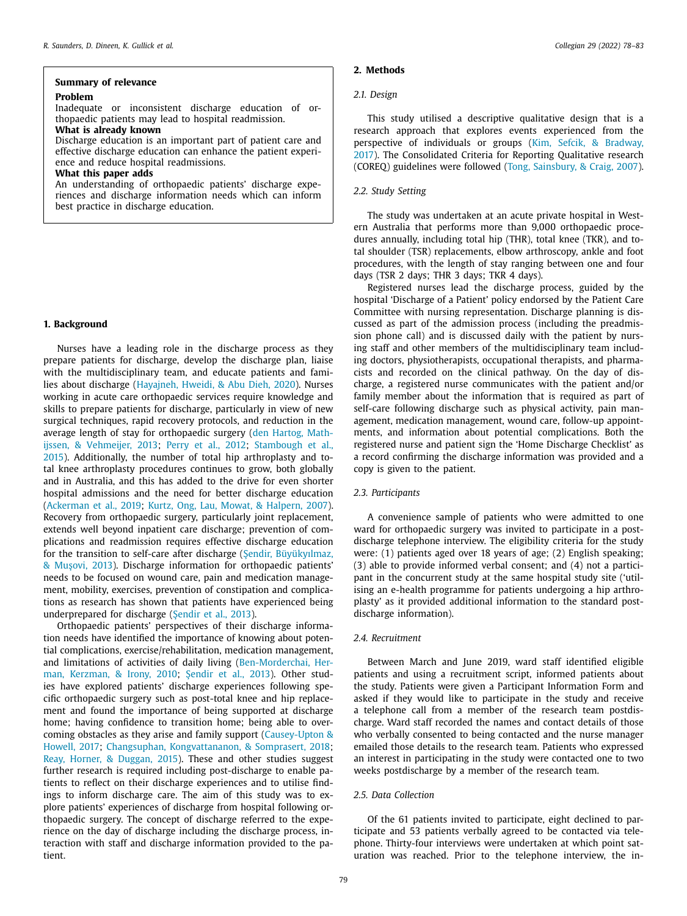### **Summary of relevance**

### **Problem**

Inadequate or inconsistent discharge education of orthopaedic patients may lead to hospital readmission.

#### **What is already known**

Discharge education is an important part of patient care and effective discharge education can enhance the patient experience and reduce hospital readmissions.

#### **What this paper adds**

An understanding of orthopaedic patients' discharge experiences and discharge information needs which can inform best practice in discharge education.

## **1. Background**

Nurses have a leading role in the discharge process as they prepare patients for discharge, develop the discharge plan, liaise with the multidisciplinary team, and educate patients and families about discharge [\(Hayajneh,](#page-7-0) Hweidi, & Abu Dieh, 2020). Nurses working in acute care orthopaedic services require knowledge and skills to prepare patients for discharge, particularly in view of new surgical techniques, rapid recovery protocols, and reduction in the average length of stay for [orthopaedic](#page-7-0) surgery (den Hartog, Mathijssen, & Vehmeijer, 2013; [Perry](#page-7-0) et al., 2012; Stambough et al., 2015). [Additionally,](#page-7-0) the number of total hip arthroplasty and total knee arthroplasty procedures continues to grow, both globally and in Australia, and this has added to the drive for even shorter hospital admissions and the need for better discharge education [\(Ackerman](#page-7-0) et al., 2019; Kurtz, Ong, Lau, Mowat, & [Halpern,](#page-7-0) 2007). Recovery from orthopaedic surgery, particularly joint replacement, extends well beyond inpatient care discharge; prevention of complications and readmission requires effective discharge education for the transition to self-care after discharge (Sendir, [Büyükyılmaz,](#page-7-0) & Mușovi, 2013). Discharge information for orthopaedic patients' needs to be focused on wound care, pain and medication management, mobility, exercises, prevention of constipation and complications as research has shown that patients have experienced being underprepared for discharge (S[endir](#page-7-0) et al., 2013).

Orthopaedic patients' perspectives of their discharge information needs have identified the importance of knowing about potential complications, exercise/rehabilitation, medication management, and limitations of activities of daily living [\(Ben-Morderchai,](#page-7-0) Herman, Kerzman, & Irony, 2010; S[endir](#page-7-0) et al., 2013). Other studies have explored patients' discharge experiences following specific orthopaedic surgery such as post-total knee and hip replacement and found the importance of being supported at discharge home; having confidence to transition home; being able to overcoming obstacles as they arise and family support (Causey-Upton & Howell, 2017; Changsuphan, [Kongvattananon,](#page-7-0) & Somprasert, 2018; Reay, Horner, & [Duggan,](#page-7-0) 2015). These and other studies suggest further research is required including post-discharge to enable patients to reflect on their discharge experiences and to utilise findings to inform discharge care. The aim of this study was to explore patients' experiences of discharge from hospital following orthopaedic surgery. The concept of discharge referred to the experience on the day of discharge including the discharge process, interaction with staff and discharge information provided to the patient.

### **2. Methods**

#### *2.1. Design*

This study utilised a descriptive qualitative design that is a research approach that explores events experienced from the perspective of individuals or groups (Kim, Sefcik, & Bradway, 2017). The [Consolidated](#page-7-0) Criteria for Reporting Qualitative research (COREQ) guidelines were followed (Tong, [Sainsbury,](#page-7-0) & Craig, 2007).

#### *2.2. Study Setting*

The study was undertaken at an acute private hospital in Western Australia that performs more than 9,000 orthopaedic procedures annually, including total hip (THR), total knee (TKR), and total shoulder (TSR) replacements, elbow arthroscopy, ankle and foot procedures, with the length of stay ranging between one and four days (TSR 2 days; THR 3 days; TKR 4 days).

Registered nurses lead the discharge process, guided by the hospital 'Discharge of a Patient' policy endorsed by the Patient Care Committee with nursing representation. Discharge planning is discussed as part of the admission process (including the preadmission phone call) and is discussed daily with the patient by nursing staff and other members of the multidisciplinary team including doctors, physiotherapists, occupational therapists, and pharmacists and recorded on the clinical pathway. On the day of discharge, a registered nurse communicates with the patient and/or family member about the information that is required as part of self-care following discharge such as physical activity, pain management, medication management, wound care, follow-up appointments, and information about potential complications. Both the registered nurse and patient sign the 'Home Discharge Checklist' as a record confirming the discharge information was provided and a copy is given to the patient.

#### *2.3. Participants*

A convenience sample of patients who were admitted to one ward for orthopaedic surgery was invited to participate in a postdischarge telephone interview. The eligibility criteria for the study were: (1) patients aged over 18 years of age; (2) English speaking; (3) able to provide informed verbal consent; and (4) not a participant in the concurrent study at the same hospital study site ('utilising an e-health programme for patients undergoing a hip arthroplasty' as it provided additional information to the standard postdischarge information).

#### *2.4. Recruitment*

Between March and June 2019, ward staff identified eligible patients and using a recruitment script, informed patients about the study. Patients were given a Participant Information Form and asked if they would like to participate in the study and receive a telephone call from a member of the research team postdischarge. Ward staff recorded the names and contact details of those who verbally consented to being contacted and the nurse manager emailed those details to the research team. Patients who expressed an interest in participating in the study were contacted one to two weeks postdischarge by a member of the research team.

### *2.5. Data Collection*

Of the 61 patients invited to participate, eight declined to participate and 53 patients verbally agreed to be contacted via telephone. Thirty-four interviews were undertaken at which point saturation was reached. Prior to the telephone interview, the in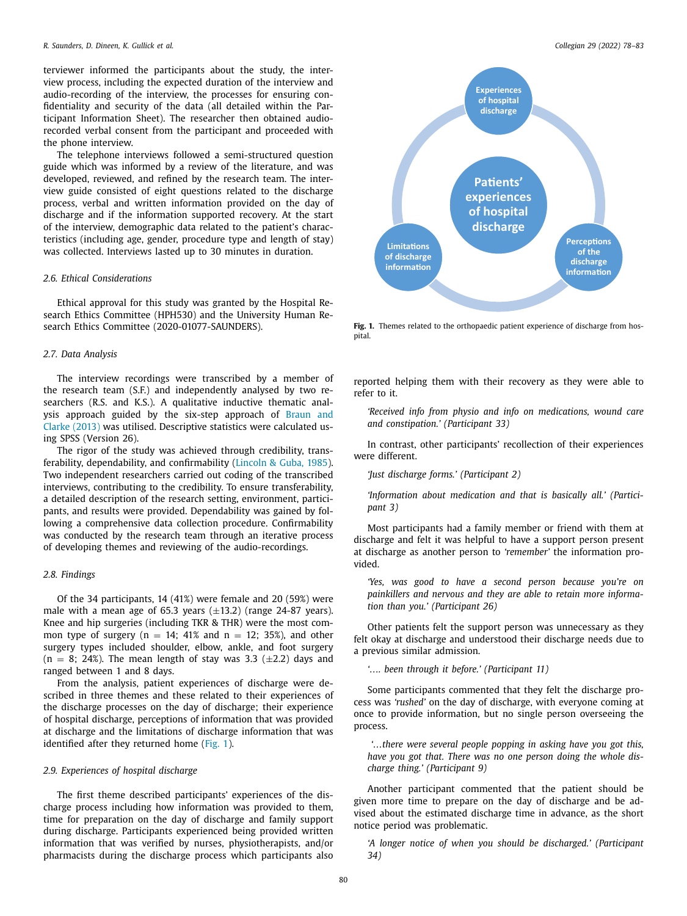terviewer informed the participants about the study, the interview process, including the expected duration of the interview and audio-recording of the interview, the processes for ensuring confidentiality and security of the data (all detailed within the Participant Information Sheet). The researcher then obtained audiorecorded verbal consent from the participant and proceeded with the phone interview.

The telephone interviews followed a semi-structured question guide which was informed by a review of the literature, and was developed, reviewed, and refined by the research team. The interview guide consisted of eight questions related to the discharge process, verbal and written information provided on the day of discharge and if the information supported recovery. At the start of the interview, demographic data related to the patient's characteristics (including age, gender, procedure type and length of stay) was collected. Interviews lasted up to 30 minutes in duration.

### *2.6. Ethical Considerations*

Ethical approval for this study was granted by the Hospital Research Ethics Committee (HPH530) and the University Human Research Ethics Committee (2020-01077-SAUNDERS).

#### *2.7. Data Analysis*

The interview recordings were transcribed by a member of the research team (S.F.) and independently analysed by two researchers (R.S. and K.S.). A qualitative inductive thematic analysis approach guided by the six-step approach of Braun and Clarke (2013) was utilised. [Descriptive](#page-7-0) statistics were calculated using SPSS (Version 26).

The rigor of the study was achieved through credibility, transferability, dependability, and confirmability [\(Lincoln](#page-7-0) & Guba, 1985). Two independent researchers carried out coding of the transcribed interviews, contributing to the credibility. To ensure transferability, a detailed description of the research setting, environment, participants, and results were provided. Dependability was gained by following a comprehensive data collection procedure. Confirmability was conducted by the research team through an iterative process of developing themes and reviewing of the audio-recordings.

#### *2.8. Findings*

Of the 34 participants, 14 (41%) were female and 20 (59%) were male with a mean age of 65.3 years  $(\pm 13.2)$  (range 24-87 years). Knee and hip surgeries (including TKR & THR) were the most common type of surgery ( $n = 14$ ; 41% and  $n = 12$ ; 35%), and other surgery types included shoulder, elbow, ankle, and foot surgery  $(n = 8; 24%)$ . The mean length of stay was 3.3 ( $\pm$ 2.2) days and ranged between 1 and 8 days.

From the analysis, patient experiences of discharge were described in three themes and these related to their experiences of the discharge processes on the day of discharge; their experience of hospital discharge, perceptions of information that was provided at discharge and the limitations of discharge information that was identified after they returned home (Fig. 1).

#### *2.9. Experiences of hospital discharge*

The first theme described participants' experiences of the discharge process including how information was provided to them, time for preparation on the day of discharge and family support during discharge. Participants experienced being provided written information that was verified by nurses, physiotherapists, and/or pharmacists during the discharge process which participants also



**Fig. 1.** Themes related to the orthopaedic patient experience of discharge from hospital.

reported helping them with their recovery as they were able to refer to it.

*'Received info from physio and info on medications, wound care and constipation.' (Participant 33)*

In contrast, other participants' recollection of their experiences were different.

*'Just discharge forms.' (Participant 2)*

*'Information about medication and that is basically all.' (Participant 3)*

Most participants had a family member or friend with them at discharge and felt it was helpful to have a support person present at discharge as another person to *'remember'* the information provided.

*'Yes, was good to have a second person because you're on painkillers and nervous and they are able to retain more information than you.' (Participant 26)*

Other patients felt the support person was unnecessary as they felt okay at discharge and understood their discharge needs due to a previous similar admission.

*'…. been through it before.' (Participant 11)*

Some participants commented that they felt the discharge process was *'rushed'* on the day of discharge, with everyone coming at once to provide information, but no single person overseeing the process.

*'…there were several people popping in asking have you got this, have you got that. There was no one person doing the whole discharge thing.' (Participant 9)*

Another participant commented that the patient should be given more time to prepare on the day of discharge and be advised about the estimated discharge time in advance, as the short notice period was problematic.

*'A longer notice of when you should be discharged.' (Participant 34)*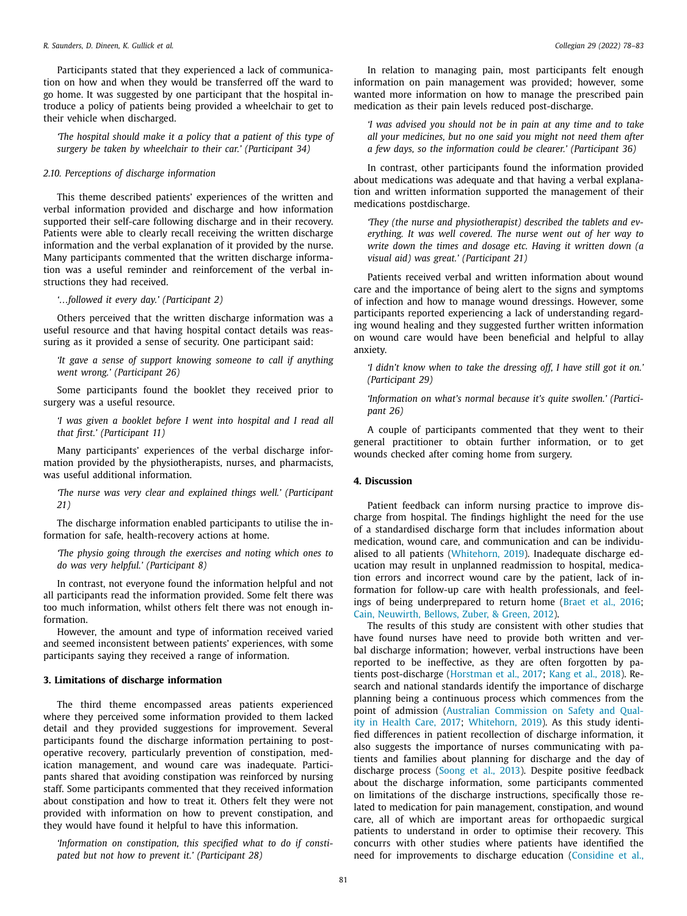Participants stated that they experienced a lack of communication on how and when they would be transferred off the ward to go home. It was suggested by one participant that the hospital introduce a policy of patients being provided a wheelchair to get to their vehicle when discharged.

*'The hospital should make it a policy that a patient of this type of surgery be taken by wheelchair to their car.' (Participant 34)*

#### *2.10. Perceptions of discharge information*

This theme described patients' experiences of the written and verbal information provided and discharge and how information supported their self-care following discharge and in their recovery. Patients were able to clearly recall receiving the written discharge information and the verbal explanation of it provided by the nurse. Many participants commented that the written discharge information was a useful reminder and reinforcement of the verbal instructions they had received.

*'…followed it every day.' (Participant 2)*

Others perceived that the written discharge information was a useful resource and that having hospital contact details was reassuring as it provided a sense of security. One participant said:

*'It gave a sense of support knowing someone to call if anything went wrong.' (Participant 26)*

Some participants found the booklet they received prior to surgery was a useful resource.

*'I was given a booklet before I went into hospital and I read all that first.' (Participant 11)*

Many participants' experiences of the verbal discharge information provided by the physiotherapists, nurses, and pharmacists, was useful additional information.

*'The nurse was very clear and explained things well.' (Participant 21)*

The discharge information enabled participants to utilise the information for safe, health-recovery actions at home.

*'The physio going through the exercises and noting which ones to do was very helpful.' (Participant 8)*

In contrast, not everyone found the information helpful and not all participants read the information provided. Some felt there was too much information, whilst others felt there was not enough information.

However, the amount and type of information received varied and seemed inconsistent between patients' experiences, with some participants saying they received a range of information.

## **3. Limitations of discharge information**

The third theme encompassed areas patients experienced where they perceived some information provided to them lacked detail and they provided suggestions for improvement. Several participants found the discharge information pertaining to postoperative recovery, particularly prevention of constipation, medication management, and wound care was inadequate. Participants shared that avoiding constipation was reinforced by nursing staff. Some participants commented that they received information about constipation and how to treat it. Others felt they were not provided with information on how to prevent constipation, and they would have found it helpful to have this information.

*'Information on constipation, this specified what to do if constipated but not how to prevent it.' (Participant 28)*

In relation to managing pain, most participants felt enough information on pain management was provided; however, some wanted more information on how to manage the prescribed pain medication as their pain levels reduced post-discharge.

*'I was advised you should not be in pain at any time and to take all your medicines, but no one said you might not need them after a few days, so the information could be clearer.' (Participant 36)*

In contrast, other participants found the information provided about medications was adequate and that having a verbal explanation and written information supported the management of their medications postdischarge.

*'They (the nurse and physiotherapist) described the tablets and everything. It was well covered. The nurse went out of her way to write down the times and dosage etc. Having it written down (a visual aid) was great.' (Participant 21)*

Patients received verbal and written information about wound care and the importance of being alert to the signs and symptoms of infection and how to manage wound dressings. However, some participants reported experiencing a lack of understanding regarding wound healing and they suggested further written information on wound care would have been beneficial and helpful to allay anxiety.

*'I didn't know when to take the dressing off, I have still got it on.' (Participant 29)*

*'Information on what's normal because it's quite swollen.' (Participant 26)*

A couple of participants commented that they went to their general practitioner to obtain further information, or to get wounds checked after coming home from surgery.

#### **4. Discussion**

Patient feedback can inform nursing practice to improve discharge from hospital. The findings highlight the need for the use of a standardised discharge form that includes information about medication, wound care, and communication and can be individualised to all patients [\(Whitehorn,](#page-7-0) 2019). Inadequate discharge education may result in unplanned readmission to hospital, medication errors and incorrect wound care by the patient, lack of information for follow-up care with health professionals, and feelings of being underprepared to return home [\(Braet](#page-7-0) et al., 2016; Cain, [Neuwirth,](#page-7-0) Bellows, Zuber, & Green, 2012).

The results of this study are consistent with other studies that have found nurses have need to provide both written and verbal discharge information; however, verbal instructions have been reported to be ineffective, as they are often forgotten by patients post-discharge [\(Horstman](#page-7-0) et al., 2017; Kang et al., [2018\)](#page-7-0). Research and national standards identify the importance of discharge planning being a continuous process which commences from the point of admission (Australian [Commission](#page-7-0) on Safety and Quality in Health Care, 2017; [Whitehorn,](#page-7-0) 2019). As this study identified differences in patient recollection of discharge information, it also suggests the importance of nurses communicating with patients and families about planning for discharge and the day of discharge process [\(Soong](#page-7-0) et al., 2013). Despite positive feedback about the discharge information, some participants commented on limitations of the discharge instructions, specifically those related to medication for pain management, constipation, and wound care, all of which are important areas for orthopaedic surgical patients to understand in order to optimise their recovery. This concurrs with other studies where patients have identified the need for improvements to discharge education [\(Considine](#page-7-0) et al.,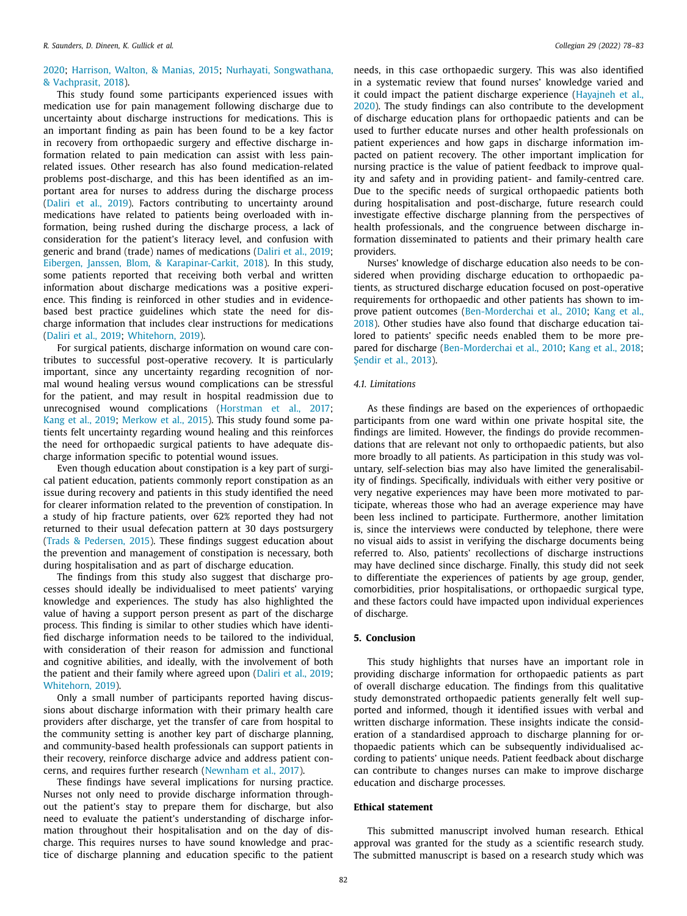### [2020;](#page-7-0) [Harrison,](#page-7-0) Walton, & Manias, 2015; Nurhayati, [Songwathana,](#page-7-0) & Vachprasit, 2018).

This study found some participants experienced issues with medication use for pain management following discharge due to uncertainty about discharge instructions for medications. This is an important finding as pain has been found to be a key factor in recovery from orthopaedic surgery and effective discharge information related to pain medication can assist with less painrelated issues. Other research has also found medication-related problems post-discharge, and this has been identified as an important area for nurses to address during the discharge process [\(Daliri](#page-7-0) et al., 2019). Factors contributing to uncertainty around medications have related to patients being overloaded with information, being rushed during the discharge process, a lack of consideration for the patient's literacy level, and confusion with generic and brand (trade) names of medications [\(Daliri](#page-7-0) et al., 2019; Eibergen, Janssen, Blom, & [Karapinar-Carkit,](#page-7-0) 2018). In this study, some patients reported that receiving both verbal and written information about discharge medications was a positive experience. This finding is reinforced in other studies and in evidencebased best practice guidelines which state the need for discharge information that includes clear instructions for medications [\(Daliri](#page-7-0) et al., 2019; [Whitehorn,](#page-7-0) 2019).

For surgical patients, discharge information on wound care contributes to successful post-operative recovery. It is particularly important, since any uncertainty regarding recognition of normal wound healing versus wound complications can be stressful for the patient, and may result in hospital readmission due to unrecognised wound complications [\(Horstman](#page-7-0) et al., 2017; Kang et al., [2019;](#page-7-0) [Merkow](#page-7-0) et al., 2015). This study found some patients felt uncertainty regarding wound healing and this reinforces the need for orthopaedic surgical patients to have adequate discharge information specific to potential wound issues.

Even though education about constipation is a key part of surgical patient education, patients commonly report constipation as an issue during recovery and patients in this study identified the need for clearer information related to the prevention of constipation. In a study of hip fracture patients, over 62% reported they had not returned to their usual defecation pattern at 30 days postsurgery (Trads & [Pedersen,](#page-7-0) 2015). These findings suggest education about the prevention and management of constipation is necessary, both during hospitalisation and as part of discharge education.

The findings from this study also suggest that discharge processes should ideally be individualised to meet patients' varying knowledge and experiences. The study has also highlighted the value of having a support person present as part of the discharge process. This finding is similar to other studies which have identified discharge information needs to be tailored to the individual, with consideration of their reason for admission and functional and cognitive abilities, and ideally, with the involvement of both the patient and their family where agreed upon [\(Daliri](#page-7-0) et al., 2019; [Whitehorn,](#page-7-0) 2019).

Only a small number of participants reported having discussions about discharge information with their primary health care providers after discharge, yet the transfer of care from hospital to the community setting is another key part of discharge planning, and community-based health professionals can support patients in their recovery, reinforce discharge advice and address patient concerns, and requires further research [\(Newnham](#page-7-0) et al., 2017).

These findings have several implications for nursing practice. Nurses not only need to provide discharge information throughout the patient's stay to prepare them for discharge, but also need to evaluate the patient's understanding of discharge information throughout their hospitalisation and on the day of discharge. This requires nurses to have sound knowledge and practice of discharge planning and education specific to the patient needs, in this case orthopaedic surgery. This was also identified in a systematic review that found nurses' knowledge varied and it could impact the patient discharge experience (Hayajneh et al., 2020). The study findings can also contribute to the [development](#page-7-0) of discharge education plans for orthopaedic patients and can be used to further educate nurses and other health professionals on patient experiences and how gaps in discharge information impacted on patient recovery. The other important implication for nursing practice is the value of patient feedback to improve quality and safety and in providing patient- and family-centred care. Due to the specific needs of surgical orthopaedic patients both during hospitalisation and post-discharge, future research could investigate effective discharge planning from the perspectives of health professionals, and the congruence between discharge information disseminated to patients and their primary health care providers.

Nurses' knowledge of discharge education also needs to be considered when providing discharge education to orthopaedic patients, as structured discharge education focused on post-operative requirements for orthopaedic and other patients has shown to improve patient outcomes [\(Ben-Morderchai](#page-7-0) et al., 2010; Kang et al., 2018). Other studies have also found that discharge education tailored to patients' specific needs enabled them to be more prepared for discharge [\(Ben-Morderchai](#page-7-0) et al., 2010; [Kang](#page-7-0) et al., 2018; S[endir](#page-7-0) et al., 2013).

#### *4.1. Limitations*

As these findings are based on the experiences of orthopaedic participants from one ward within one private hospital site, the findings are limited. However, the findings do provide recommendations that are relevant not only to orthopaedic patients, but also more broadly to all patients. As participation in this study was voluntary, self-selection bias may also have limited the generalisability of findings. Specifically, individuals with either very positive or very negative experiences may have been more motivated to participate, whereas those who had an average experience may have been less inclined to participate. Furthermore, another limitation is, since the interviews were conducted by telephone, there were no visual aids to assist in verifying the discharge documents being referred to. Also, patients' recollections of discharge instructions may have declined since discharge. Finally, this study did not seek to differentiate the experiences of patients by age group, gender, comorbidities, prior hospitalisations, or orthopaedic surgical type, and these factors could have impacted upon individual experiences of discharge.

#### **5. Conclusion**

This study highlights that nurses have an important role in providing discharge information for orthopaedic patients as part of overall discharge education. The findings from this qualitative study demonstrated orthopaedic patients generally felt well supported and informed, though it identified issues with verbal and written discharge information. These insights indicate the consideration of a standardised approach to discharge planning for orthopaedic patients which can be subsequently individualised according to patients' unique needs. Patient feedback about discharge can contribute to changes nurses can make to improve discharge education and discharge processes.

### **Ethical statement**

This submitted manuscript involved human research. Ethical approval was granted for the study as a scientific research study. The submitted manuscript is based on a research study which was